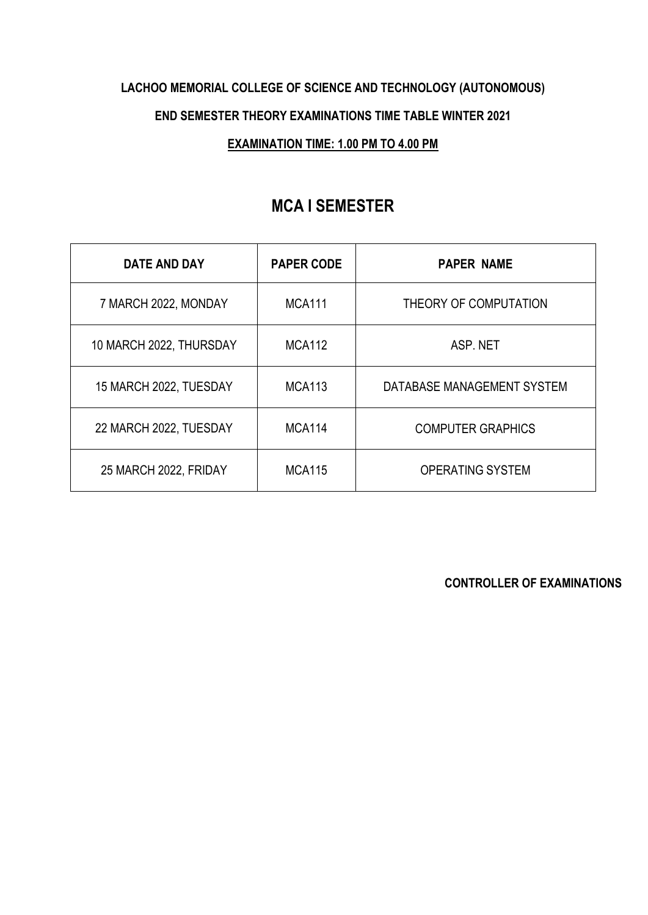# **LACHOO MEMORIAL COLLEGE OF SCIENCE AND TECHNOLOGY (AUTONOMOUS) END SEMESTER THEORY EXAMINATIONS TIME TABLE WINTER 2021**

#### **EXAMINATION TIME: 1.00 PM TO 4.00 PM**

## **MCA I SEMESTER**

| <b>DATE AND DAY</b>     | <b>PAPER CODE</b> | <b>PAPER NAME</b>          |
|-------------------------|-------------------|----------------------------|
| 7 MARCH 2022, MONDAY    | <b>MCA111</b>     | THEORY OF COMPUTATION      |
| 10 MARCH 2022, THURSDAY | <b>MCA112</b>     | ASP. NET                   |
| 15 MARCH 2022, TUESDAY  | <b>MCA113</b>     | DATABASE MANAGEMENT SYSTEM |
| 22 MARCH 2022, TUESDAY  | <b>MCA114</b>     | <b>COMPUTER GRAPHICS</b>   |
| 25 MARCH 2022, FRIDAY   | <b>MCA115</b>     | <b>OPERATING SYSTEM</b>    |

**CONTROLLER OF EXAMINATIONS**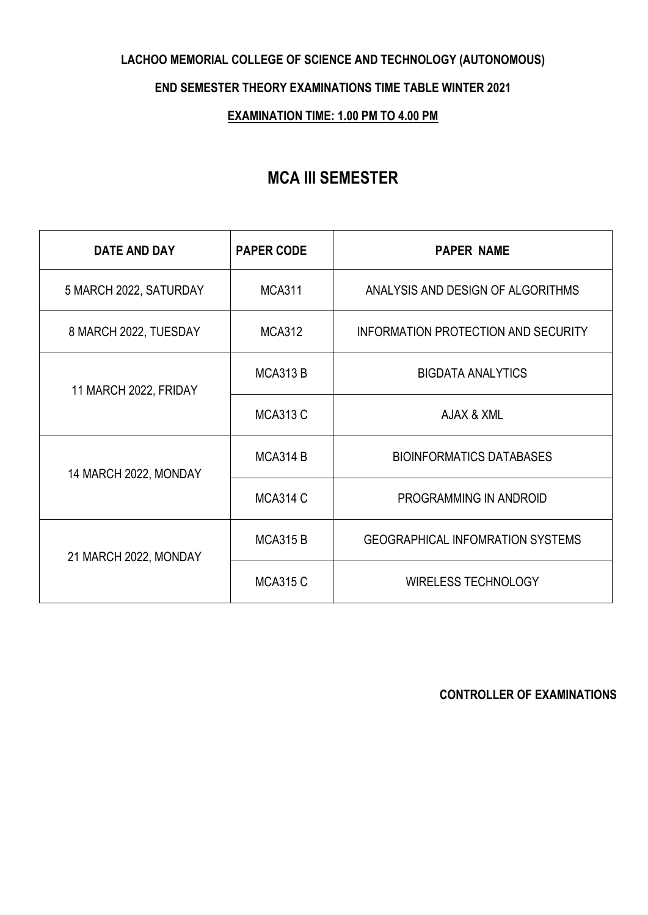#### **LACHOO MEMORIAL COLLEGE OF SCIENCE AND TECHNOLOGY (AUTONOMOUS)**

#### **END SEMESTER THEORY EXAMINATIONS TIME TABLE WINTER 2021**

#### **EXAMINATION TIME: 1.00 PM TO 4.00 PM**

## **MCA III SEMESTER**

| DATE AND DAY           | <b>PAPER CODE</b> | <b>PAPER NAME</b>                       |
|------------------------|-------------------|-----------------------------------------|
| 5 MARCH 2022, SATURDAY | <b>MCA311</b>     | ANALYSIS AND DESIGN OF ALGORITHMS       |
| 8 MARCH 2022, TUESDAY  | <b>MCA312</b>     | INFORMATION PROTECTION AND SECURITY     |
| 11 MARCH 2022, FRIDAY  | <b>MCA313 B</b>   | <b>BIGDATA ANALYTICS</b>                |
|                        | <b>MCA313 C</b>   | AJAX & XML                              |
| 14 MARCH 2022, MONDAY  | <b>MCA314 B</b>   | <b>BIOINFORMATICS DATABASES</b>         |
|                        | <b>MCA314 C</b>   | PROGRAMMING IN ANDROID                  |
| 21 MARCH 2022, MONDAY  | <b>MCA315 B</b>   | <b>GEOGRAPHICAL INFOMRATION SYSTEMS</b> |
|                        | <b>MCA315 C</b>   | <b>WIRELESS TECHNOLOGY</b>              |

**CONTROLLER OF EXAMINATIONS**